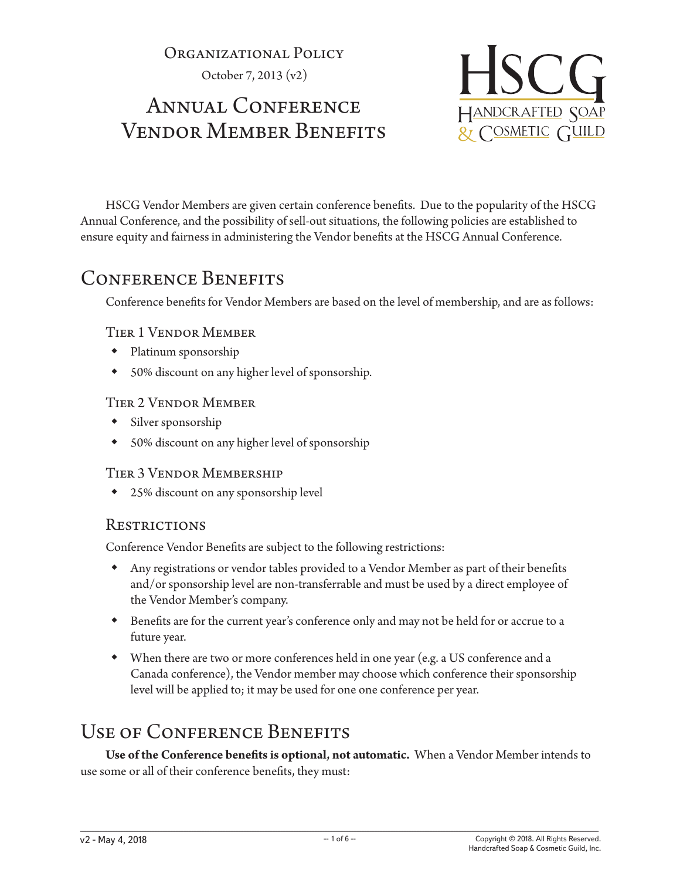Organizational Policy

October 7, 2013 (v2)

# ANNUAL CONFERENCE Vendor Member Benefits



HSCG Vendor Members are given certain conference benefits. Due to the popularity of the HSCG Annual Conference, and the possibility of sell-out situations, the following policies are established to ensure equity and fairness in administering the Vendor benefits at the HSCG Annual Conference.

## CONFERENCE BENEFITS

Conference benefits for Vendor Members are based on the level of membership, and are as follows:

#### Tier 1 Vendor Member

- Platinum sponsorship
- 50% discount on any higher level of sponsorship.

#### Tier 2 Vendor Member

- Silver sponsorship
- 50% discount on any higher level of sponsorship

#### Tier 3 Vendor Membership

25% discount on any sponsorship level

#### **RESTRICTIONS**

Conference Vendor Benefits are subject to the following restrictions:

- Any registrations or vendor tables provided to a Vendor Member as part of their benefits and/or sponsorship level are non-transferrable and must be used by a direct employee of the Vendor Member's company.
- Benefits are for the current year's conference only and may not be held for or accrue to a future year.
- When there are two or more conferences held in one year (e.g. a US conference and a Canada conference), the Vendor member may choose which conference their sponsorship level will be applied to; it may be used for one one conference per year.

## USE OF CONFERENCE BENEFITS

**Use of the Conference benefits is optional, not automatic.** When a Vendor Member intends to use some or all of their conference benefits, they must: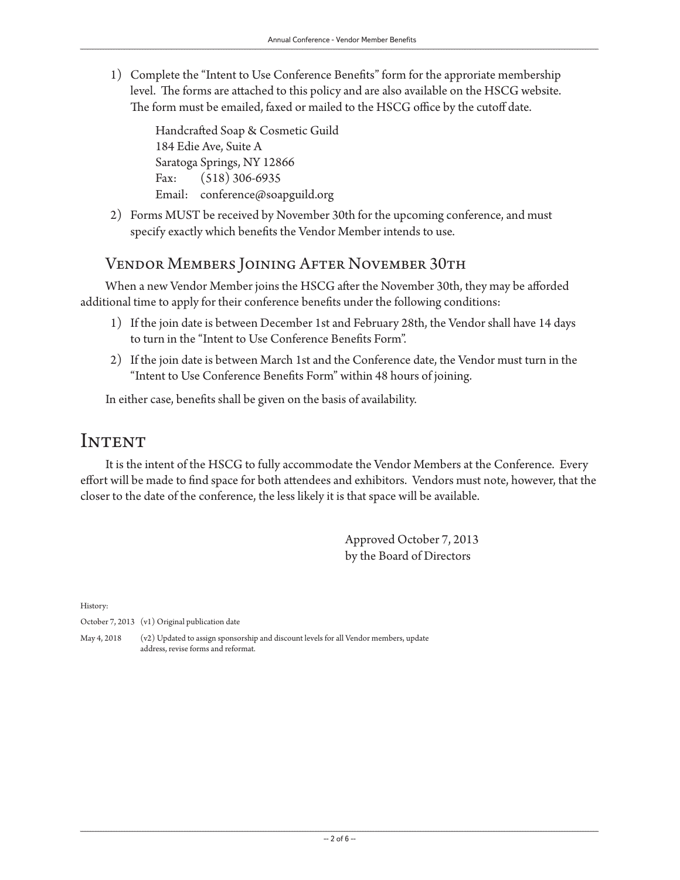1) Complete the "Intent to Use Conference Benefits" form for the approriate membership level. The forms are attached to this policy and are also available on the HSCG website. The form must be emailed, faxed or mailed to the HSCG office by the cutoff date.

Handcrafted Soap & Cosmetic Guild 184 Edie Ave, Suite A Saratoga Springs, NY 12866 Fax: (518) 306-6935 Email: conference@soapguild.org

2) Forms MUST be received by November 30th for the upcoming conference, and must specify exactly which benefits the Vendor Member intends to use.

#### Vendor Members Joining After November 30th

When a new Vendor Member joins the HSCG after the November 30th, they may be afforded additional time to apply for their conference benefits under the following conditions:

- 1) If the join date is between December 1st and February 28th, the Vendor shall have 14 days to turn in the "Intent to Use Conference Benefits Form".
- 2) If the join date is between March 1st and the Conference date, the Vendor must turn in the "Intent to Use Conference Benefits Form" within 48 hours of joining.

In either case, benefits shall be given on the basis of availability.

#### **INTENT**

It is the intent of the HSCG to fully accommodate the Vendor Members at the Conference. Every effort will be made to find space for both attendees and exhibitors. Vendors must note, however, that the closer to the date of the conference, the less likely it is that space will be available.

> Approved October 7, 2013 by the Board of Directors

History:

October 7, 2013 (v1) Original publication date

May 4, 2018 (v2) Updated to assign sponsorship and discount levels for all Vendor members, update address, revise forms and reformat.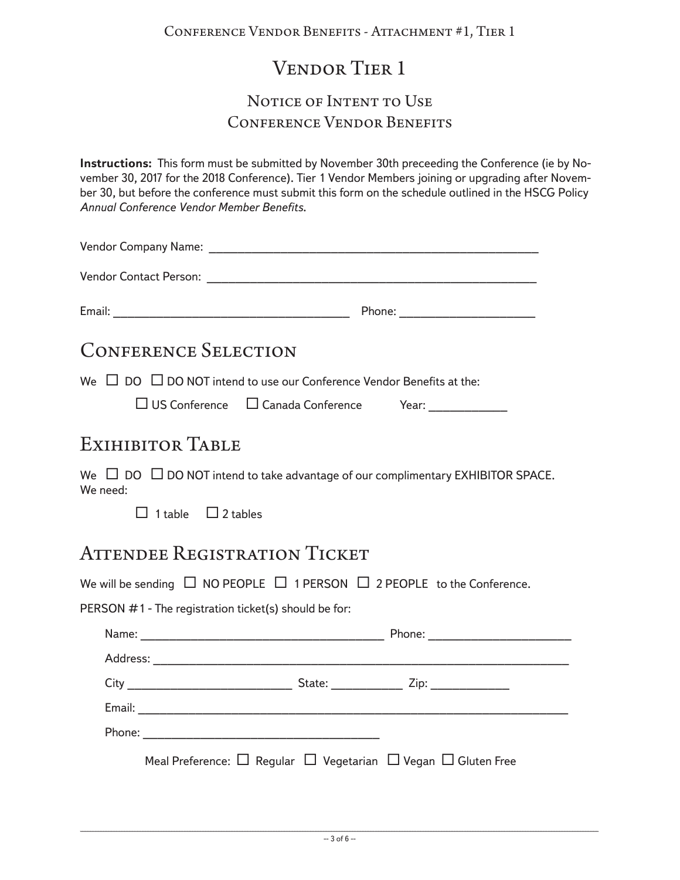# Vendor Tier 1

#### NOTICE OF INTENT TO USE Conference Vendor Benefits

**Instructions:** This form must be submitted by November 30th preceeding the Conference (ie by November 30, 2017 for the 2018 Conference). Tier 1 Vendor Members joining or upgrading after November 30, but before the conference must submit this form on the schedule outlined in the HSCG Policy *Annual Conference Vendor Member Benefits*.

Vendor Company Name: \_\_\_\_\_\_\_\_\_\_\_\_\_\_\_\_\_\_\_\_\_\_\_\_\_\_\_\_\_\_\_\_\_\_\_\_\_\_\_\_\_\_\_\_\_\_

Vendor Contact Person: \_\_\_\_\_\_\_\_\_\_\_\_\_\_\_\_\_\_\_\_\_\_\_\_\_\_\_\_\_\_\_\_\_\_\_\_\_\_\_\_\_\_\_\_\_\_

Email: \_\_\_\_\_\_\_\_\_\_\_\_\_\_\_\_\_\_\_\_\_\_\_\_\_\_\_\_\_\_\_\_\_ Phone: \_\_\_\_\_\_\_\_\_\_\_\_\_\_\_\_\_\_\_

## Conference Selection

We  $\Box$  DO  $\Box$  DO NOT intend to use our Conference Vendor Benefits at the:

 $\Box$  US Conference  $\Box$  Canada Conference Year:

### Exihibitor Table

We  $\Box$  DO  $\Box$  DO NOT intend to take advantage of our complimentary EXHIBITOR SPACE. We need:

 $\Box$  1 table  $\Box$  2 tables

### ATTENDEE REGISTRATION TICKET

We will be sending  $\Box$  NO PEOPLE  $\Box$  1 PERSON  $\Box$  2 PEOPLE to the Conference.

PERSON #1 - The registration ticket(s) should be for:

| Phone: ________________________                                                   |
|-----------------------------------------------------------------------------------|
|                                                                                   |
| State: __________________ Zip: _________________                                  |
|                                                                                   |
|                                                                                   |
| Meal Preference: $\Box$ Regular $\Box$ Vegetarian $\Box$ Vegan $\Box$ Gluten Free |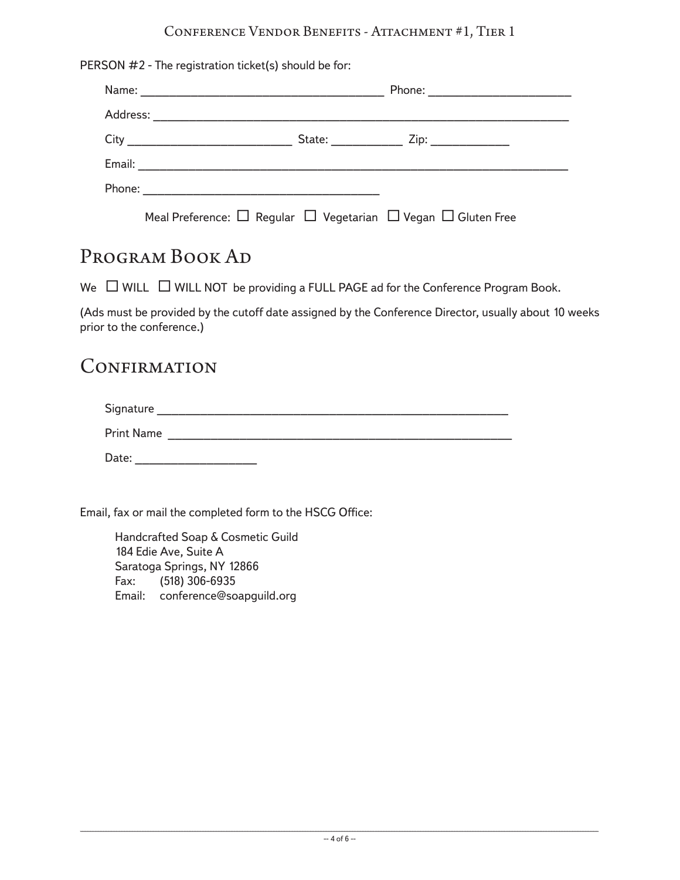#### Conference Vendor Benefits - Attachment #1, Tier 1

| Phone: _________________________ |  |  |
|----------------------------------|--|--|
|                                  |  |  |
|                                  |  |  |
|                                  |  |  |
|                                  |  |  |

#### PROGRAM BOOK AD

We  $\Box$  WILL  $\Box$  WILL NOT be providing a FULL PAGE ad for the Conference Program Book.

(Ads must be provided by the cutoff date assigned by the Conference Director, usually about 10 weeks prior to the conference.)

#### **CONFIRMATION**

| Signature |  |  |  |
|-----------|--|--|--|
|           |  |  |  |

Print Name \_\_\_\_\_\_\_\_\_\_\_\_\_\_\_\_\_\_\_\_\_\_\_\_\_\_\_\_\_\_\_\_\_\_\_\_\_\_\_\_\_\_\_\_\_\_\_\_

Date: \_\_\_\_\_\_\_\_\_\_\_\_\_\_\_\_\_

Email, fax or mail the completed form to the HSCG Office:

Handcrafted Soap & Cosmetic Guild 184 Edie Ave, Suite A Saratoga Springs, NY 12866 Fax: (518) 306-6935 Email: conference@soapguild.org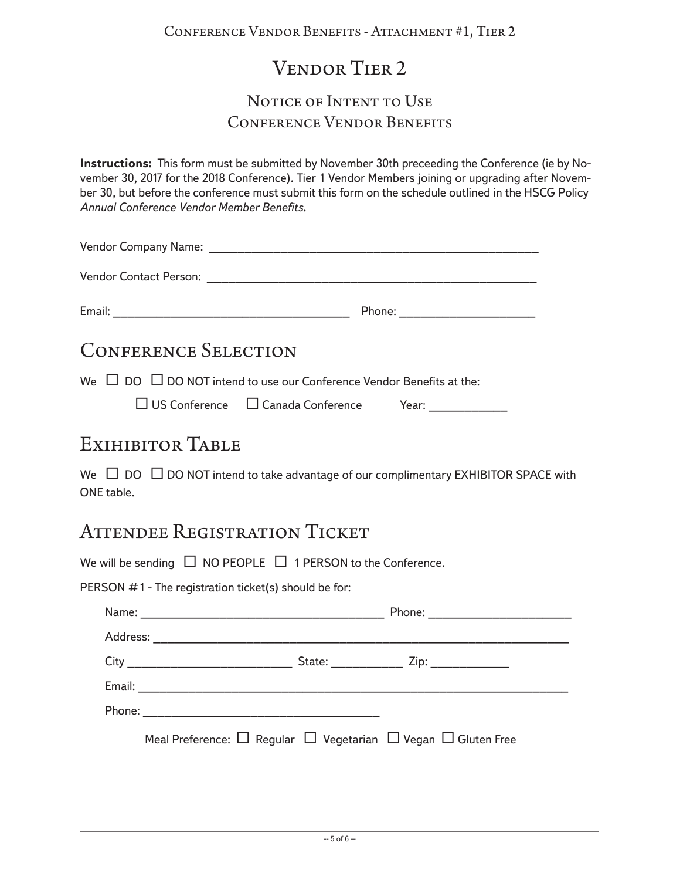# Vendor Tier 2

#### NOTICE OF INTENT TO USE Conference Vendor Benefits

**Instructions:** This form must be submitted by November 30th preceeding the Conference (ie by November 30, 2017 for the 2018 Conference). Tier 1 Vendor Members joining or upgrading after November 30, but before the conference must submit this form on the schedule outlined in the HSCG Policy *Annual Conference Vendor Member Benefits*.

Vendor Company Name: \_\_\_\_\_\_\_\_\_\_\_\_\_\_\_\_\_\_\_\_\_\_\_\_\_\_\_\_\_\_\_\_\_\_\_\_\_\_\_\_\_\_\_\_\_\_

Email: \_\_\_\_\_\_\_\_\_\_\_\_\_\_\_\_\_\_\_\_\_\_\_\_\_\_\_\_\_\_\_\_\_ Phone: \_\_\_\_\_\_\_\_\_\_\_\_\_\_\_\_\_\_\_

## Conference Selection

We  $\Box$  DO  $\Box$  DO NOT intend to use our Conference Vendor Benefits at the:

 $\Box$  US Conference  $\Box$  Canada Conference Year:

### Exihibitor Table

We  $\Box$  DO  $\Box$  DO NOT intend to take advantage of our complimentary EXHIBITOR SPACE with ONE table.

## ATTENDEE REGISTRATION TICKET

We will be sending  $\Box$  NO PEOPLE  $\Box$  1 PERSON to the Conference.

PERSON #1 - The registration ticket(s) should be for:

| State: ___________________ Zip: _________________                                 |
|-----------------------------------------------------------------------------------|
|                                                                                   |
|                                                                                   |
| Meal Preference: $\Box$ Regular $\Box$ Vegetarian $\Box$ Vegan $\Box$ Gluten Free |